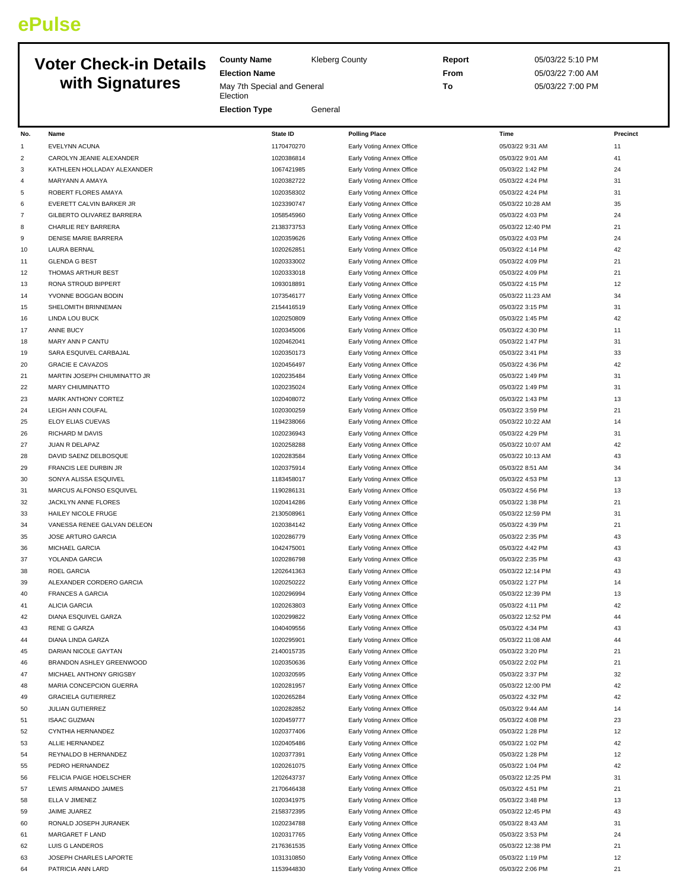## **ePulse**

## **Voter Check-in Details with Signatures**

May 7th Special and General **Election** 

**Election Type** General

**Election Name**

**County Name** Kleberg County

**Report** 05/03/22 5:10 PM **From** 05/03/22 7:00 AM **To** 05/03/22 7:00 PM

| No.            | Name                         | <b>State ID</b> | <b>Polling Place</b>      | Time              | Precinct |
|----------------|------------------------------|-----------------|---------------------------|-------------------|----------|
| 1              | EVELYNN ACUNA                | 1170470270      | Early Voting Annex Office | 05/03/22 9:31 AM  | $11\,$   |
| $\overline{c}$ | CAROLYN JEANIE ALEXANDER     | 1020386814      | Early Voting Annex Office | 05/03/22 9:01 AM  | 41       |
| 3              | KATHLEEN HOLLADAY ALEXANDER  | 1067421985      | Early Voting Annex Office | 05/03/22 1:42 PM  | 24       |
| 4              | MARYANN A AMAYA              | 1020382722      | Early Voting Annex Office | 05/03/22 4:24 PM  | 31       |
| 5              | ROBERT FLORES AMAYA          | 1020358302      | Early Voting Annex Office | 05/03/22 4:24 PM  | 31       |
| 6              | EVERETT CALVIN BARKER JR     | 1023390747      | Early Voting Annex Office | 05/03/22 10:28 AM | 35       |
| $\overline{7}$ | GILBERTO OLIVAREZ BARRERA    | 1058545960      | Early Voting Annex Office | 05/03/22 4:03 PM  | 24       |
| 8              | CHARLIE REY BARRERA          | 2138373753      | Early Voting Annex Office | 05/03/22 12:40 PM | 21       |
| 9              | <b>DENISE MARIE BARRERA</b>  | 1020359626      | Early Voting Annex Office | 05/03/22 4:03 PM  | 24       |
| 10             | <b>LAURA BERNAL</b>          | 1020262851      | Early Voting Annex Office | 05/03/22 4:14 PM  | 42       |
|                |                              | 1020333002      | Early Voting Annex Office |                   | 21       |
| 11             | <b>GLENDA G BEST</b>         | 1020333018      |                           | 05/03/22 4:09 PM  | 21       |
| 12             | THOMAS ARTHUR BEST           |                 | Early Voting Annex Office | 05/03/22 4:09 PM  |          |
| 13             | RONA STROUD BIPPERT          | 1093018891      | Early Voting Annex Office | 05/03/22 4:15 PM  | 12       |
| 14             | YVONNE BOGGAN BODIN          | 1073546177      | Early Voting Annex Office | 05/03/22 11:23 AM | 34       |
| 15             | SHELOMITH BRINNEMAN          | 2154416519      | Early Voting Annex Office | 05/03/22 3:15 PM  | 31       |
| 16             | LINDA LOU BUCK               | 1020250809      | Early Voting Annex Office | 05/03/22 1:45 PM  | 42       |
| 17             | ANNE BUCY                    | 1020345006      | Early Voting Annex Office | 05/03/22 4:30 PM  | 11       |
| 18             | MARY ANN P CANTU             | 1020462041      | Early Voting Annex Office | 05/03/22 1:47 PM  | 31       |
| 19             | SARA ESQUIVEL CARBAJAL       | 1020350173      | Early Voting Annex Office | 05/03/22 3:41 PM  | 33       |
| 20             | <b>GRACIE E CAVAZOS</b>      | 1020456497      | Early Voting Annex Office | 05/03/22 4:36 PM  | 42       |
| 21             | MARTIN JOSEPH CHIUMINATTO JR | 1020235484      | Early Voting Annex Office | 05/03/22 1:49 PM  | 31       |
| 22             | <b>MARY CHIUMINATTO</b>      | 1020235024      | Early Voting Annex Office | 05/03/22 1:49 PM  | 31       |
| 23             | <b>MARK ANTHONY CORTEZ</b>   | 1020408072      | Early Voting Annex Office | 05/03/22 1:43 PM  | 13       |
| 24             | <b>LEIGH ANN COUFAL</b>      | 1020300259      | Early Voting Annex Office | 05/03/22 3:59 PM  | 21       |
| 25             | ELOY ELIAS CUEVAS            | 1194238066      | Early Voting Annex Office | 05/03/22 10:22 AM | 14       |
| 26             | RICHARD M DAVIS              | 1020236943      | Early Voting Annex Office | 05/03/22 4:29 PM  | 31       |
| 27             | JUAN R DELAPAZ               | 1020258288      | Early Voting Annex Office | 05/03/22 10:07 AM | 42       |
| 28             | DAVID SAENZ DELBOSQUE        | 1020283584      | Early Voting Annex Office | 05/03/22 10:13 AM | 43       |
| 29             | FRANCIS LEE DURBIN JR        | 1020375914      | Early Voting Annex Office | 05/03/22 8:51 AM  | 34       |
| 30             | SONYA ALISSA ESQUIVEL        | 1183458017      | Early Voting Annex Office | 05/03/22 4:53 PM  | 13       |
| 31             | MARCUS ALFONSO ESQUIVEL      | 1190286131      | Early Voting Annex Office | 05/03/22 4:56 PM  | 13       |
| 32             | JACKLYN ANNE FLORES          | 1020414286      | Early Voting Annex Office | 05/03/22 1:38 PM  | 21       |
| 33             | HAILEY NICOLE FRUGE          | 2130508961      | Early Voting Annex Office | 05/03/22 12:59 PM | 31       |
| 34             | VANESSA RENEE GALVAN DELEON  | 1020384142      | Early Voting Annex Office | 05/03/22 4:39 PM  | 21       |
| 35             | JOSE ARTURO GARCIA           | 1020286779      | Early Voting Annex Office | 05/03/22 2:35 PM  | 43       |
| 36             | MICHAEL GARCIA               | 1042475001      | Early Voting Annex Office | 05/03/22 4:42 PM  | 43       |
| 37             | YOLANDA GARCIA               | 1020286798      | Early Voting Annex Office | 05/03/22 2:35 PM  | 43       |
| 38             | ROEL GARCIA                  | 1202641363      | Early Voting Annex Office | 05/03/22 12:14 PM | 43       |
| 39             | ALEXANDER CORDERO GARCIA     | 1020250222      | Early Voting Annex Office | 05/03/22 1:27 PM  | 14       |
| 40             | <b>FRANCES A GARCIA</b>      | 1020296994      | Early Voting Annex Office | 05/03/22 12:39 PM | 13       |
| 41             | <b>ALICIA GARCIA</b>         | 1020263803      | Early Voting Annex Office | 05/03/22 4:11 PM  | 42       |
| 42             | DIANA ESQUIVEL GARZA         | 1020299822      | Early Voting Annex Office | 05/03/22 12:52 PM | 44       |
| 43             | RENE G GARZA                 | 1040409556      |                           | 05/03/22 4:34 PM  | 43       |
|                |                              |                 | Early Voting Annex Office |                   |          |
| 44             | DIANA LINDA GARZA            | 1020295901      | Early Voting Annex Office | 05/03/22 11:08 AM | 44       |
| 45             | DARIAN NICOLE GAYTAN         | 2140015735      | Early Voting Annex Office | 05/03/22 3:20 PM  | 21       |
| 46             | BRANDON ASHLEY GREENWOOD     | 1020350636      | Early Voting Annex Office | 05/03/22 2:02 PM  | 21       |
| 47             | MICHAEL ANTHONY GRIGSBY      | 1020320595      | Early Voting Annex Office | 05/03/22 3:37 PM  | 32       |
| 48             | MARIA CONCEPCION GUERRA      | 1020281957      | Early Voting Annex Office | 05/03/22 12:00 PM | 42       |
| 49             | <b>GRACIELA GUTIERREZ</b>    | 1020265284      | Early Voting Annex Office | 05/03/22 4:32 PM  | 42       |
| 50             | <b>JULIAN GUTIERREZ</b>      | 1020282852      | Early Voting Annex Office | 05/03/22 9:44 AM  | 14       |
| 51             | <b>ISAAC GUZMAN</b>          | 1020459777      | Early Voting Annex Office | 05/03/22 4:08 PM  | 23       |
| 52             | CYNTHIA HERNANDEZ            | 1020377406      | Early Voting Annex Office | 05/03/22 1:28 PM  | 12       |
| 53             | ALLIE HERNANDEZ              | 1020405486      | Early Voting Annex Office | 05/03/22 1:02 PM  | 42       |
| 54             | REYNALDO B HERNANDEZ         | 1020377391      | Early Voting Annex Office | 05/03/22 1:28 PM  | 12       |
| 55             | PEDRO HERNANDEZ              | 1020261075      | Early Voting Annex Office | 05/03/22 1:04 PM  | 42       |
| 56             | FELICIA PAIGE HOELSCHER      | 1202643737      | Early Voting Annex Office | 05/03/22 12:25 PM | 31       |
| 57             | LEWIS ARMANDO JAIMES         | 2170646438      | Early Voting Annex Office | 05/03/22 4:51 PM  | 21       |
| 58             | ELLA V JIMENEZ               | 1020341975      | Early Voting Annex Office | 05/03/22 3:48 PM  | 13       |
| 59             | JAIME JUAREZ                 | 2158372395      | Early Voting Annex Office | 05/03/22 12:45 PM | 43       |
| 60             | RONALD JOSEPH JURANEK        | 1020234788      | Early Voting Annex Office | 05/03/22 8:43 AM  | 31       |
| 61             | MARGARET F LAND              | 1020317765      | Early Voting Annex Office | 05/03/22 3:53 PM  | 24       |
| 62             | LUIS G LANDEROS              | 2176361535      | Early Voting Annex Office | 05/03/22 12:38 PM | 21       |
| 63             | JOSEPH CHARLES LAPORTE       | 1031310850      | Early Voting Annex Office | 05/03/22 1:19 PM  | 12       |
| 64             | PATRICIA ANN LARD            | 1153944830      | Early Voting Annex Office | 05/03/22 2:06 PM  | 21       |
|                |                              |                 |                           |                   |          |